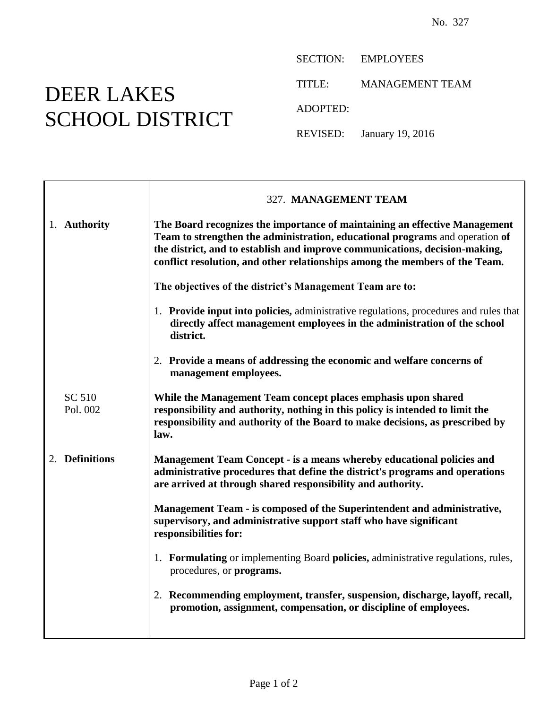## DEER LAKES SCHOOL DISTRICT

SECTION: EMPLOYEES

TITLE: MANAGEMENT TEAM

ADOPTED:

REVISED: January 19, 2016

|                    | 327. MANAGEMENT TEAM                                                                                                                                                                                                                                                                                                     |
|--------------------|--------------------------------------------------------------------------------------------------------------------------------------------------------------------------------------------------------------------------------------------------------------------------------------------------------------------------|
| 1. Authority       | The Board recognizes the importance of maintaining an effective Management<br>Team to strengthen the administration, educational programs and operation of<br>the district, and to establish and improve communications, decision-making,<br>conflict resolution, and other relationships among the members of the Team. |
|                    | The objectives of the district's Management Team are to:                                                                                                                                                                                                                                                                 |
|                    | 1. Provide input into policies, administrative regulations, procedures and rules that<br>directly affect management employees in the administration of the school<br>district.                                                                                                                                           |
|                    | 2. Provide a means of addressing the economic and welfare concerns of<br>management employees.                                                                                                                                                                                                                           |
| SC 510<br>Pol. 002 | While the Management Team concept places emphasis upon shared<br>responsibility and authority, nothing in this policy is intended to limit the<br>responsibility and authority of the Board to make decisions, as prescribed by<br>law.                                                                                  |
| 2. Definitions     | Management Team Concept - is a means whereby educational policies and<br>administrative procedures that define the district's programs and operations<br>are arrived at through shared responsibility and authority.                                                                                                     |
|                    | Management Team - is composed of the Superintendent and administrative,<br>supervisory, and administrative support staff who have significant<br>responsibilities for:                                                                                                                                                   |
|                    | 1. Formulating or implementing Board policies, administrative regulations, rules,<br>procedures, or <b>programs.</b>                                                                                                                                                                                                     |
|                    | 2. Recommending employment, transfer, suspension, discharge, layoff, recall,<br>promotion, assignment, compensation, or discipline of employees.                                                                                                                                                                         |
|                    |                                                                                                                                                                                                                                                                                                                          |